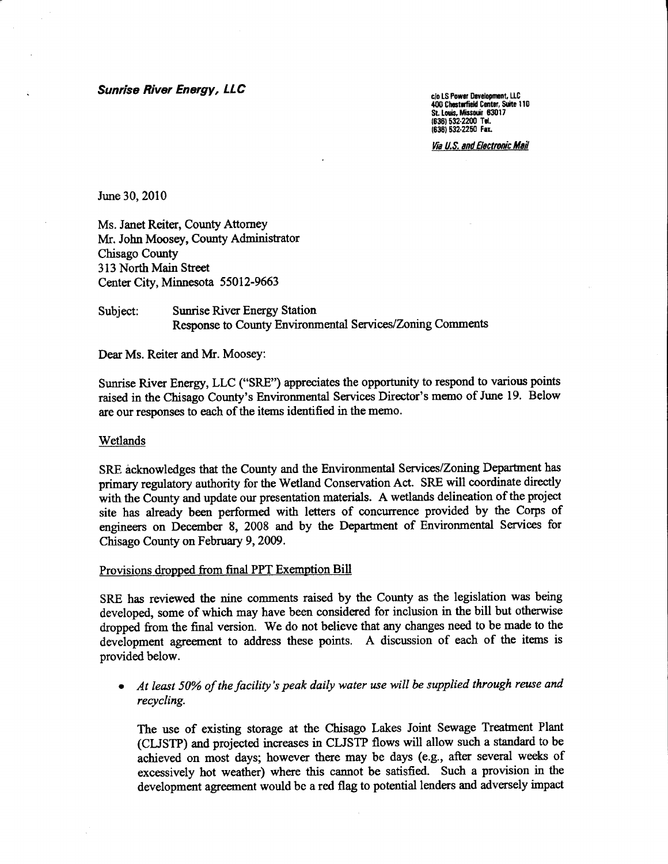Sunrise River Energy, LLC

c/o LS Power Development, LLC<br>400 Chesterfield Center, Suite 110 St. Louis, Missouir 63017<br>(636) 532-2200 Tel. (636) 532-2250 Fax.

Via U.S. and Electronic Mail

June 30, 2010

Ms. Janet Reiter, County Attomey Mr. John Moosey, County Administrator Chisago County 313 North Main Street Center City, Minnesota 55012-9663

# Subject: Sunrise River Energy Station Response to County Environmental Services/Zoning Comments

Dear Ms. Reiter and Mr. Moosey:

Sunrise River Energy, LLC ("SRE") appreciates the opportunity to respond to various points raised in the Chisago County's Environmental Services Director's memo of June 19. Below are our responses to each of the items identified in the memo.

### Wetlands

SRE acknowledges that the County and the Environmental Services/Zoning Department has primary regulatory authority for the Wetland Conservation Act. SRE will coordinate directly with the County and update our presentation materials. A wetlands delineation of the project site has already been perfomred with letters of concurrence provided by the Corps of engineers on December 8, 2008 and by the Department of Environmental Services for Chisago County on February 9,2009.

#### Provisions dropped from final PPT Exemption Bill

SRE has reviewed the nine comments raised by the County as the legislation was being developed, some of which may have been considered for inclusion in the bill but otherwise dropped fiom the final version. We do not believe that any changes need to be made to the development agreement to address these points. A discussion of each of the items is provided below.

• At least 50% of the facility's peak daily water use will be supplied through reuse and recycling.

The use of existing storage at the Chisago Lakes Joint Sewage Treatnent Plant (CLJSTP) and projected increases in CLJSTP flows will allow such a standard to be achieved on most days; however there may be days (e.g., after several weeks of excessively hot weather) where this cannot be satisfied. Such a provision in the development agreement would be a red flag to potential lenders and adversely impact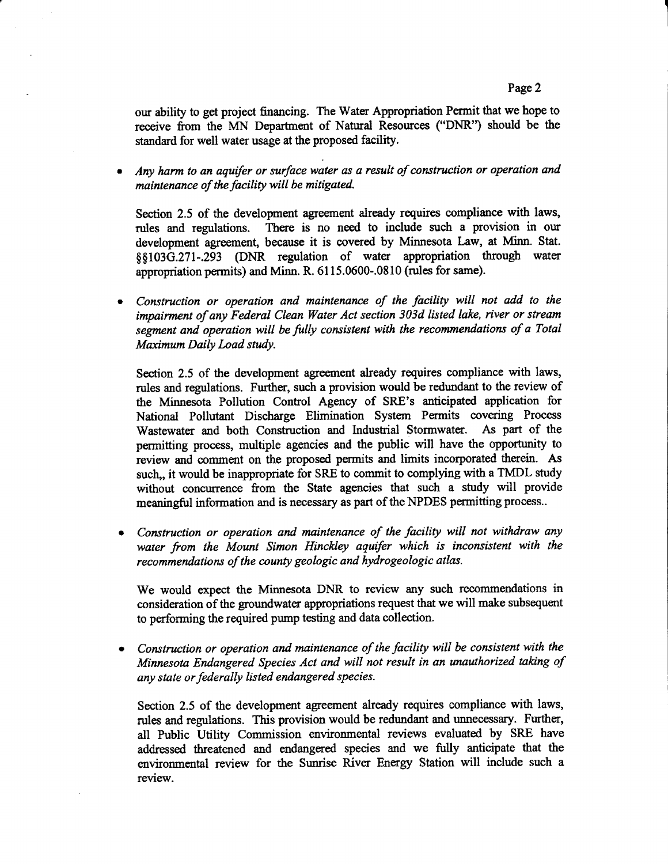our ability to get project financing. The Water Appropriation Permit that we hope to receive from the MN Departnent of Natural Resources ("DNR") should be the standard for well water usage at the proposed facility.

Any harm to an aquifer or surface water as a result of construction or operation and maintenance of the facility will be mitigated.

Section 2-5 of the development agreement already requires compliance with laws, rules and regulations. There is no need to include such a provision in our development agreement, because it is covered by Minnesota Law, at Minn. Stat. \$\$103G.271-.293 (DNR regulation of water appropriation througb water appropriation permits) and Minn. R. 6115.0600-.0810 (rules for same).

Construction or operation and maintenance of the facility will not add to the impairment of any Federal Clean Water Act section 303d listed lake, river or stream segment and operation will be fully consistent with the recommendations of a Total Maximum Daily Load study.

Section 2.5 of the development agreement already requires compliance with laws, rules and regulations. Further, such a provision would be redrmdant to the review of the Minnesota Pollution Control Agency of SRE's anticipated application for National Pollutant Discharge Elimination Systern Permits covering Process Wastewater and both Construction and Induskial Stormwater. As part of the permitting process, multiple agencies and the public will have the opportunity to review and comment on the proposed permits and limits incorporated therein. As such,, it would be inappropriate for SRE to commit to complying with a TMDL study without concurrence from the State agencies that such a study will provide meaningful information and is necessary as part of the NPDES permitting process..

Construction or operation and maintenance of the facility will not withdraw any  $\bullet$ water from the Mount Simon Hinckley aquifer which is inconsistent with the recommendations of the county geologic and hydrogeologic atlas.

We would expect the Minnesota DNR to review any such recommendations in consideration of the groundwater appropriations request that we will make subsequent to performing the required pump testing and data collection.

Construction or operation and maintenance of the facility will be consistent with the Minnesota Endangered Species Act and will not result in an unauthorized taking of any state or federally listed endangered species.

Section 2.5 of the development agreement already requires compliance with laws, rules and regulations. This provision would be redundant and unnecessary. Further, all Fublic Utility Commission environmental reviews evaluated by SRE have addressed threatened and endangered species and we fu1ly anticipate that the environmental review for the Sunrise River Energy Station will include such a review.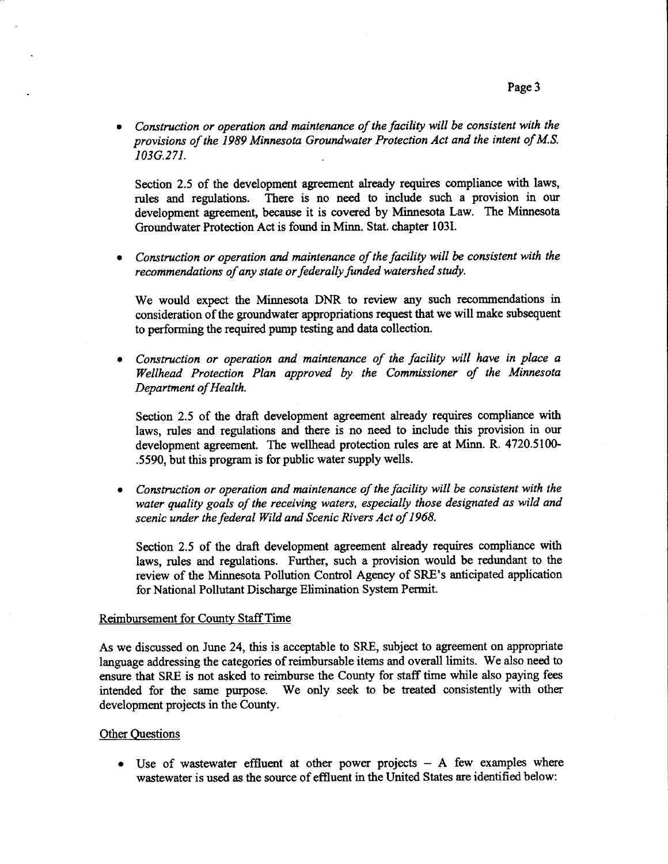• Construction or operation and maintenance of the facility will be consistent with the provisions of the /989 Minnesota Groundwater Protection Act and the intent of M.S. 103G.271.

Section 2.5 of the development agreement already requires compliance with laws, rules and regulations. There is no need to include such a provision in our development agreement, because it is covered by Minnesota Law. The Minnesota Groundwater Protection Act is found in Minn. Stat. chapter 103I.

Construction or operation and maintenance of the facility will be consistent with the recommendations of any state or federally funded watershed study.

We would expect the Minnesota DNR to review any such recommendations in consideration of the groundwater appropriations request that we will make subsequent to performing the required pump testing and data collection.

• Construction or operation and maintenance of the facility will have in place a Wellhead Protection Plan approved by the Commissioner of the Minnesota Departnent of Health.

Section 2.5 of the draft development agreement already requires compliance with laws, rules and regulations and there is no need to include this provision in our development agreement. The wellhead protection rules are at Minn. R. 4720.5100-.5590, but this program is for public water supply wells.

 $\bullet$  Construction or operation and maintenance of the facility will be consistent with the water quality goals of the receiving waters, especially those designated as wild and scenic under the federal Wild and Scenic Rivers Act of 1968.

Section 2.5 of the draft development agreement already requires compliance with laws, rules and regulations. Further, such a provision would be redundant to the review of the Minnesota Pollution Contol Agency of SRE's anticipated application for National Pollutant Discharge Elimination System Permit.

### Reimbursement for County StaffTime

As we discussed on June 24, this is acceptable to SRE, subject to agreernent on appropriate language addressing the categories of reimbursable items and overall limits. We also need to ensure that SRE is not asked to reimburse the County for staff time while also paying fees intended for the sane purpose. We only seek to be treated consistently with other development projects in the County.

## **Other Questions**

 $\bullet$  Use of wastewater effluent at other power projects - A few examples where wastewater is used as the source of effiuent in the United States are identified below: